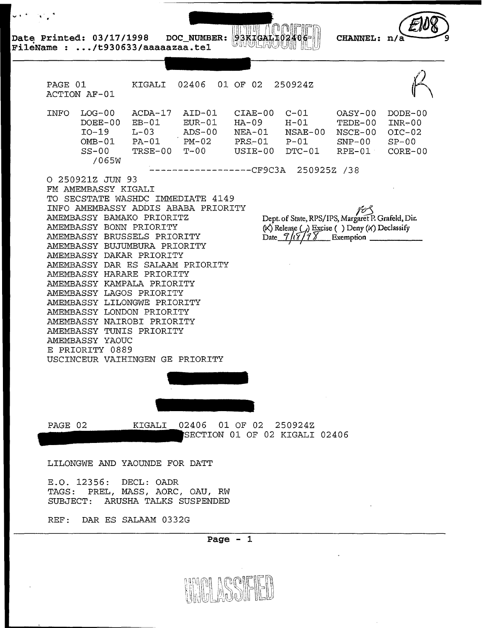**Date Printed: 03/17/1998 DOC NUMBER:**   $93KIGALI02406$ **SHULRUUH** 

<sup>~</sup>..



**FileName : .../t930633/aaaaazaa.tel**<br> **FileName : .../t930633/aaaaazaa.tel**<br>
PAGE 01 KIGALI 02406 ACTION AF-01 PAGE 01 KIGALI 02406 01 OF 02 250924Z  $\mathbb{M}$ INFO LOG-00 ACDA-17 AID-01 CIAE-00 C-01 OASY-00 DODE-00  $DOEE-00$   $EB-01$   $EUR-01$   $HA-09$   $H-01$   $TEDE-00$   $INR-00$ I0-19 L-03 ADS-00 NEA-01 NSAE-00 NSCE-00 OIC-02 OMB-01 PA-01 PM-02 PRS.-01 P-01 SNP-00 SP-00 SS-00 TRSE-00 T-00 USIE-00 DTC-01 RPE-01 CORE-00 /065W ------------------CF9C3A 250925Z /38 0 250921Z JUN 93 FM AMEMBASSY KIGALI

ากเห

TO SECSTATE WASHDC IMMEDIATE 4149 INFO AMEMBASSY ADDIS ABABA PRIORITY AMEMBASSY BAMAKO PRIORITZ AMEMBASSY BONN PRIORITY AMEMBASSY BRUSSELS PRIORITY AMEMBASSY BUJUMBURA PRIORITY AMEMBASSY DAKAR PRIORITY AMEMBASSY DAR ES SALAAM PRIORITY AMEMBASSY HARARE PRIORITY AMEMBASSY KAMPALA PRIORITY AMEMBASSY LAGOS PRIORITY AMEMBASSY LILONGWE PRIORITY AMEMBASSY LONDON PRIORITY AMEMBASSY NAIROBI PRIORITY AMEMBASSY TUNIS PRIORITY AMEMBASSY YAOUC E PRIORITY 0889 USCINCEUR VAIHINGEN GE PRIORITY

Dept. of State, RPS/IPS, Margaret P. Grafeld, Dir. Dept. of State, KI S/II S, Margaret F. Charcki, B.I.<br>
(X) Release () Excise () Deny (X) Declassify Date  $7/77$  Exemption

PAGE 02 KIGALI 02406 01 OF 02 250924Z ECTION 01 OF 02 KIGALI 02406

LILONGWE AND YAOUNDE FOR DATT

E.O. 12356: DECL: OADR TAGS: PREL, MASS, AORC, OAU, RW SUBJECT: ARUSHA TALKS SUSPENDED

REF: DAR ES SALAAM 0332G

**Page - 1** 

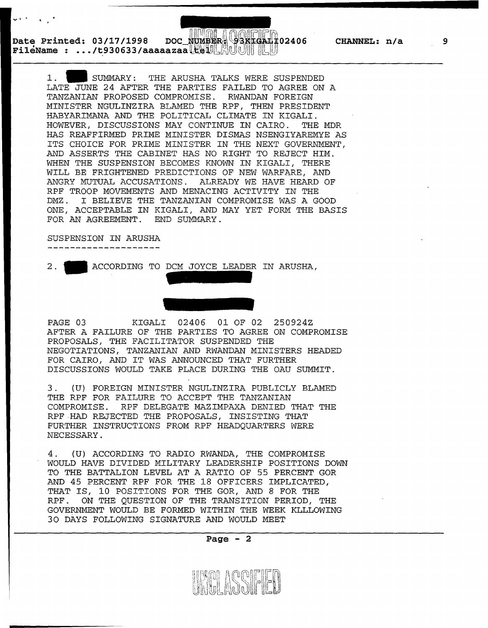**02406 CHANNEL: n/a** 

**Date Printed: 03/17/1998 FileName : .../t930633/aaaaazaa\tellenge@existeali02406**<br>FileName : .../t930633/aaaaazaa\tellenge@existealicen

> 1 . • SUMMARY: THE ARUSHA TALKS WERE SUSPENDED LATE JUNE 24 AFTER THE PARTIES FAILED TO AGREE ON A TANZANIAN PROPOSED COMPROMISE. RWANDAN FOREIGN MINISTER NGULINZIRA BLAMED THE RPF, THEN PRESIDENT HABYARIMANA AND THE POLITICAL CLIMATE IN KIGALI. HOWEVER, DISCUSSIONS MAY CONTINUE IN CAIRO. THE MDR HAS REAFFIRMED PRIME MINISTER DISMAS NSENGIYAREMYE AS ITS CHOICE FOR PRIME MINISTER IN THE NEXT GOVERNMENT, AND ASSERTS THE CABINET HAS NO RIGHT TO REJECT HIM. WHEN THE SUSPENSION BECOMES KNOWN IN KIGALI, THERE WILL BE FRIGHTENED PREDICTIONS OF NEW WARFARE, AND ANGRY MUTUAL ACCUSATIONS. ALREADY WE HAVE HEARD OF RPF TROOP MOVEMENTS AND MENACING ACTIVITY IN THE DMZ. I BELIEVE THE TANZANIAN COMPROMISE WAS A GOOD ONE, ACCEPTABLE IN KIGALI, AND MAY YET FORM THE BASIS FOR AN AGREEMENT. END SUMMARY.

## SUSPENSION IN ARUSHA

--------------------

 $\ddotsc$ 

ACCORDING TO DCM JOYCE LEADER IN ARUSHA,



PAGE 03 KIGALI 02406 01 OF 02 250924Z AFTER A FAILURE OF THE PARTIES TO AGREE ON COMPROMISE PROPOSALS, THE FACILITATOR SUSPENDED THE NEGOTIATIONS, TANZANIAN AND RWANDAN MINISTERS HEADED FOR CAIRO, AND IT WAS ANNOUNCED THAT FURTHER DISCUSSIONS WOULD TAKE PLACE DURING THE OAU SUMMIT.

3. (U) FOREIGN MINISTER NGULINZIRA PUBLICLY BLAMED THE RPF FOR FAILURE TO ACCEPT THE TANZANIAN COMPROMISE. RPF DELEGATE MAZIMPAXA DENIED THAT THE RPF HAD REJECTED THE PROPOSALS, INSISTING THAT FURTHER INSTRUCTIONS FROM RPF HEADQUARTERS WERE NECESSARY.

4. (U) ACCORDING TO RADIO RWANDA, THE COMPROMISE WOULD HAVE DIVIDED MILITARY LEADERSHIP POSITIONS DOWN TO THE BATTALION LEVEL AT A RATIO OF 55 PERCENT GOR AND 45 PERCENT RPF FOR THE 18 OFFICERS IMPLICATED, THAT IS, 10 POSITIONS FOR THE GOR, AND 8 FOR THE RPF. ON THE QUESTION OF THE TRANSITION PERIOD, THE GOVERNMENT WOULD BE FORMED WITHIN THE WEEK KLLLOWING 30 DAYS FOLLOWING SIGNATURE AND WOULD MEET



**9**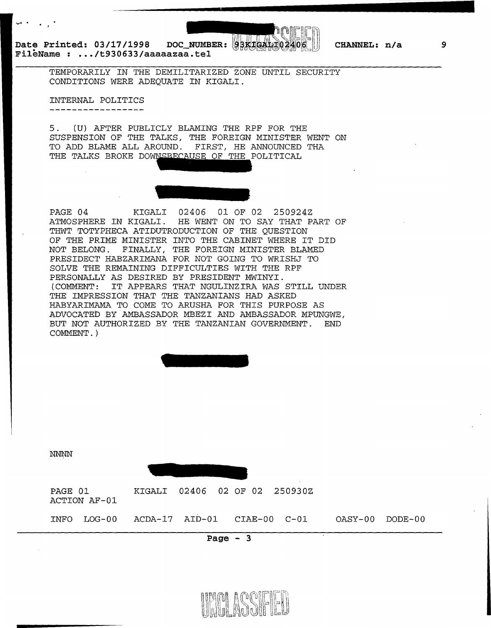...... .

Date Printed: 03/17/1998 DOC\_NUMBER: **BBKIGAIT02406 FileName : ... /t930633/aaaaazaa.tel** 



## **CHANNEL: n/a**

TEMPORARILY IN THE DEMILITARIZED ZONE UNTIL SECURITY CONDITIONS WERE ADEQUATE IN KIGALI.

INTERNAL POLITICS . \_ \_ \_ \_ \_ \_ \_ \_ \_ \_ \_ \_ \_ \_ \_ .

5. (U) AFTER PUBLICLY BLAMING THE RPF FOR THE SUSPENSION OF THE TALKS, THE FOREIGN MINISTER WENT ON TO ADD BLAME ALL AROUND. FIRST, HE ANNOUNCED THA THE TALKS BROKE DOWNSBECAUSE OF THE POLITICAL

PAGE 04 KIGALI 02406 01 OF 02 250924Z ATMOSPHERE IN KIGALI. HE WENT ON TO SAY THAT PART OF THWT TOTYPHECA ATIDUTRODUCTION OF THE QUESTION OF THE PRIME MINISTER INTO THE CABINET WHERE IT DID NOT BELONG. FINALLY, THE FOREIGN MINISTER BLAMED PRESIDECT HABZARIMANA FOR NOT GOING TO WRISHJ TO SOLVE THE REMAINING DIFFICULTIES WITH THE RPF PERSONALLY AS DESIRED BY PRESIDENT MWINYI. (COMMENT: IT APPEARS THAT NGULINZIRA WAS STILL UNDER THE IMPRESSION THAT THE TANZANIANS HAD ASKED HABYARIMAMA TO COME TO ARUSHA FOR THIS PURPOSE AS ADVOCATED BY AMBASSADOR MBEZI AND AMBASSADOR MPUNGWE, BUT NOT AUTHORIZED BY THE TANZANIAN GOVERNMENT. END COMMENT.)

NNNN PAGE 01 ACTION AF-01 INFO LOG-00 KIGALI 02406 02 OF 02 250930Z ACDA-17 AID-01 CIAE-00 C-01 OASY-00 DODE-00

**Page - 3** 



**9**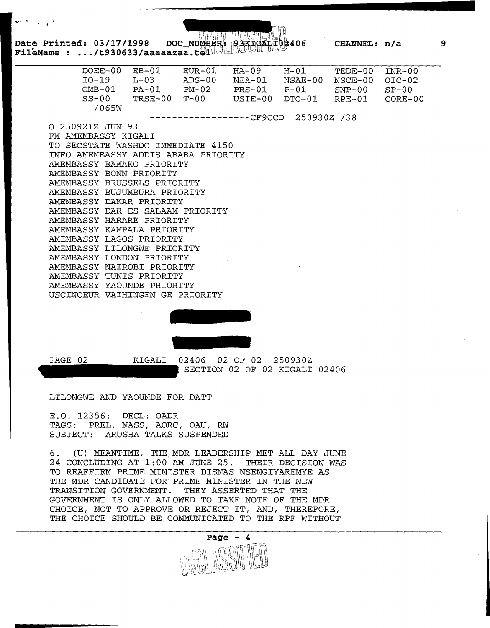Date Printed: 03/17/1998 DOC NUMBE<br>FileName : .../t930633/aaaaazaa.te<sup>1</sup>

|                                     | DOEE-00 | $EB-01$                  | EUR-01 | HA-09  | $H-01$ TEDE-00                              |                | $INR-00$ |
|-------------------------------------|---------|--------------------------|--------|--------|---------------------------------------------|----------------|----------|
|                                     | $IO-19$ | $L - 03$                 | ADS-00 | NEA-01 | NSAE-00 NSCE-00                             |                | $OIC-02$ |
|                                     |         | $OMB-01$ $PA-01$ $PM-02$ |        |        |                                             | ${\tt SNP-00}$ | $SP-00$  |
|                                     |         |                          |        |        | $SS-00$ $TRSE-00$ $T-00$ $USTE-00$ $DTC-01$ | RPE-01 CORE-00 |          |
|                                     | /065W   |                          |        |        |                                             |                |          |
|                                     |         |                          |        |        | ----------------CF9CCD 250930Z /38          |                |          |
| O 250921Z JUN 93                    |         |                          |        |        |                                             |                |          |
| FM AMEMBASSY KIGALI                 |         |                          |        |        |                                             |                |          |
| TO SECSTATE WASHDC IMMEDIATE 4150   |         |                          |        |        |                                             |                |          |
| INFO AMEMBASSY ADDIS ABABA PRIORITY |         |                          |        |        |                                             |                |          |
| AMEMBASSY BAMAKO PRIORITY           |         |                          |        |        |                                             |                |          |
| AMEMBASSY BONN PRIORITY             |         |                          |        |        |                                             |                |          |
| AMEMBASSY BRUSSELS PRIORITY         |         |                          |        |        |                                             |                |          |
| AMEMBASSY BUJUMBURA PRIORITY        |         |                          |        |        |                                             |                |          |
| AMEMBASSY DAKAR PRIORITY            |         |                          |        |        |                                             |                |          |
| AMEMBASSY DAR ES SALAAM PRIORITY    |         |                          |        |        |                                             |                |          |
| AMEMBASSY HARARE PRIORITY           |         |                          |        |        |                                             |                |          |
| AMEMBASSY KAMPALA PRIORITY          |         |                          |        |        |                                             |                |          |
| AMEMBASSY LAGOS PRIORITY            |         |                          |        |        |                                             |                |          |
| AMEMBASSY LILONGWE PRIORITY         |         |                          |        |        |                                             |                |          |
| AMEMBASSY LONDON PRIORITY           |         |                          |        |        |                                             |                |          |
| AMEMBASSY NAIROBI PRIORITY          |         |                          |        |        |                                             |                |          |
| AMEMBASSY TUNIS PRIORITY            |         |                          |        |        |                                             |                |          |
| AMEMBASSY YAOUNDE PRIORITY          |         |                          |        |        |                                             |                |          |
| USCINCEUR VAIHINGEN GE PRIORITY     |         |                          |        |        |                                             |                |          |
|                                     |         |                          |        |        |                                             |                |          |



PAGE 02

KIGALI

02406 02 OF 02 250930Z SECTION 02 OF 02 KIGALI 02406

LILONGWE AND YAOUNDE FOR DATT

E.O. 12356: DECL: OADR TAGS: PREL, MASS, AORC, OAU, RW SUBJECT: ARUSHA TALKS SUSPENDED

6. (U) MEANTIME, THE,MDR LEADERSHIP MET ALL DAY JUNE 24 CONCLUDING AT 1:00 AM JUNE 25. THEIR DECISION WAS TO REAFFIRM PRIME MINISTER DISMAS NSENGIYAREMYE AS THE MDR CANDIDATE FOR PRIME MINISTER IN THE NEW TRANSITION GOVERNMENT. THEY ASSERTED THAT THE GOVERNMENT IS ONLY ALLOWED TO TAKE NOTE OF THE MDR CHOICE, NOT TO APPROVE OR REJECT IT, AND, THEREFORE, THE CHOICE SHOULD BE COMMUNICATED TO THE RPF WITHOUT

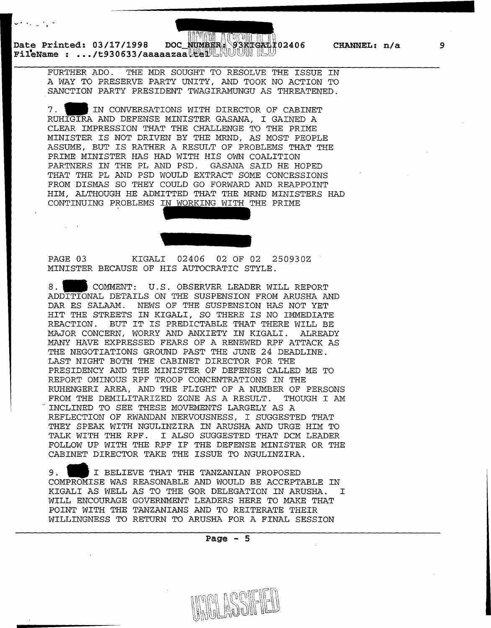\_\_\_\_\_\_\_\_\_\_\_\_\_\_\_\_\_\_\_\_\_\_ .......

Date Printed: 03/17/1998 DOC NUMBER 93KFGA<del>1</del>F02406 CHANNEL: n/a<br>FileName : .../t930633/aaaaazaa Leep MUUIIIIIU

 $\mathbf{v}^{(k)}$  and  $\mathbf{v}^{(k)}$  and  $\mathbf{v}^{(k)}$ 

 $\mathcal{L}^{\mathcal{L}}$ 

FURTHER ADO. THE MDR SOUGHT TO RESOLVE THE ISSUE IN A WAY TO PRESERVE PARTY UNITY, AND TOOK NO ACTION TO SANCTION PARTY PRESIDENT TWAGIRAMUNGU AS THREATENED.

7. **1111** IN CONVERSATIONS WITH DIRECTOR OF CABINET RUHIGIRA AND DEFENSE MINISTER GASANA, I GAINED A CLEAR IMPRESSION THAT THE CHALLENGE TO THE PRIME MINISTER IS NOT DRIVEN BY THE MRND, AS MOST PEOPLE ASSUME, BUT IS RATHER A RESULT OF PROBLEMS THAT THE PRIME MINISTER HAS HAD WITH HIS OWN COALITION PARTNERS IN THE PL AND PSD. GASANA SAID HE HOPED THAT THE PL AND PSD WOULD EXTRACT SOME CONCESSIONS FROM DISMAS SO THEY COULD GO FORWARD AND REAPPOINT HIM, ALTHOUGH HE ADMITTED THAT THE MRND MINISTERS HAD CONTINUING PROBLEMS IN WORKING WITH THE PRIME

PAGE 03 KIGALI 02406 02 OF 02 250930Z MINISTER BECAUSE OF HIS AUTOCRATIC STYLE.

8. COMMENT: U.S. OBSERVER LEADER WILL REPORT ADDITIONAL DETAILS ON THE SUSPENSION FROM ARUSHA AND DAR ES SALAAM. NEWS OF THE SUSPENSION HAS NOT YET HIT THE STREETS IN KIGALI, SO THERE IS NO IMMEDIATE REACTION. BUT IT IS PREDICTABLE THAT THERE WILL BE MAJOR CONCERN, WORRY AND ANXIETY IN KIGALI. ALREADY MANY HAVE EXPRESSED FEARS OF A RENEWED RPF ATTACK AS THE NEGOTIATIONS GROUND PAST THE JUNE 24 DEADLINE. LAST NIGHT BOTH THE CABINET DIRECTOR FOR THE PRESIDENCY AND THE MINISTER OF DEFENSE CALLED ME TO REPORT OMINOUS RPF TROOP CONCENTRATIONS IN THE RUHENGERI AREA, AND THE FLIGHT OF A NUMBER OF PERSONS FROM THE DEMILITARIZED ZONE AS A RESULT. THOUGH I AM ... REFLECTION OF RWANDAN NERVOUSNESS, I SUGGESTED THAT THEY SPEAK WITH NGULINZIRA IN ARUSHA AND URGE HIM TO TALK WITH THE RPF. I ALSO SUGGESTED THAT DCM LEADER FOLLOW UP WITH THE RPF IF THE DEFENSE MINISTER OR THE CABINET DIRECTOR TAKE THE ISSUE TO NGULINZIRA.

9. I **I BELIEVE THAT THE TANZANIAN PROPOSED** COMPROMISE WAS REASONABLE AND WOULD BE ACCEPTABLE IN KIGALI AS WELL AS TO THE GOR DELEGATION IN ARUSHA. I WILL ENCOURAGE GOVERNMENT LEADERS HERE TO MAKE THAT POINT WITH THE TANZANIANS AND TO REITERATE THEIR WILLINGNESS TO RETURN TO ARUSHA FOR A FINAL SESSION

**Page - 5**